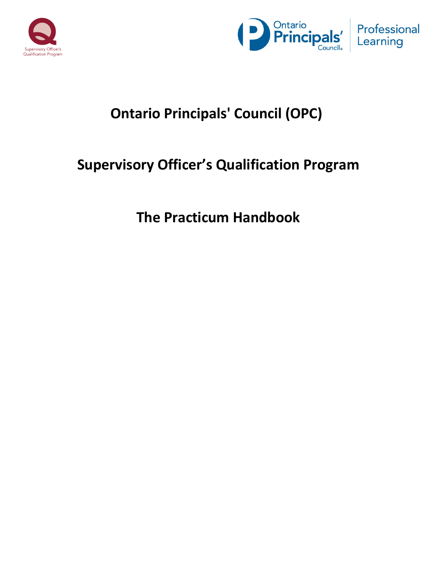



# **Ontario Principals' Council (OPC)**

# **Supervisory Officer's Qualification Program**

**The Practicum Handbook**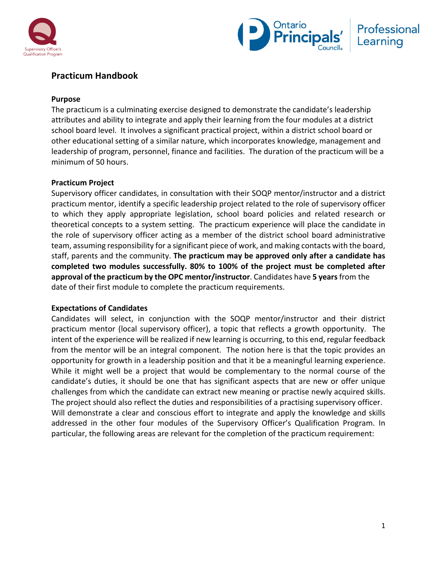



# **Practicum Handbook**

# **Purpose**

The practicum is a culminating exercise designed to demonstrate the candidate's leadership attributes and ability to integrate and apply their learning from the four modules at a district school board level. It involves a significant practical project, within a district school board or other educational setting of a similar nature, which incorporates knowledge, management and leadership of program, personnel, finance and facilities. The duration of the practicum will be a minimum of 50 hours.

# **Practicum Project**

Supervisory officer candidates, in consultation with their SOQP mentor/instructor and a district practicum mentor, identify a specific leadership project related to the role of supervisory officer to which they apply appropriate legislation, school board policies and related research or theoretical concepts to a system setting. The practicum experience will place the candidate in the role of supervisory officer acting as a member of the district school board administrative team, assuming responsibility for a significant piece of work, and making contacts with the board, staff, parents and the community. **The practicum may be approved only after a candidate has completed two modules successfully. 80% to 100% of the project must be completed after approval of the practicum by the OPC mentor/instructor**. Candidates have **5 years**from the date of their first module to complete the practicum requirements.

# **Expectations of Candidates**

Candidates will select, in conjunction with the SOQP mentor/instructor and their district practicum mentor (local supervisory officer), a topic that reflects a growth opportunity. The intent of the experience will be realized if new learning is occurring, to this end, regular feedback from the mentor will be an integral component. The notion here is that the topic provides an opportunity for growth in a leadership position and that it be a meaningful learning experience. While it might well be a project that would be complementary to the normal course of the candidate's duties, it should be one that has significant aspects that are new or offer unique challenges from which the candidate can extract new meaning or practise newly acquired skills. The project should also reflect the duties and responsibilities of a practising supervisory officer. Will demonstrate a clear and conscious effort to integrate and apply the knowledge and skills addressed in the other four modules of the Supervisory Officer's Qualification Program. In particular, the following areas are relevant for the completion of the practicum requirement: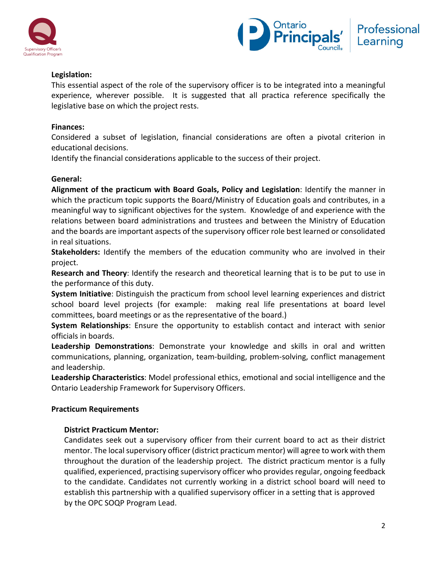



# **Legislation:**

This essential aspect of the role of the supervisory officer is to be integrated into a meaningful experience, wherever possible. It is suggested that all practica reference specifically the legislative base on which the project rests.

# **Finances:**

Considered a subset of legislation, financial considerations are often a pivotal criterion in educational decisions.

Identify the financial considerations applicable to the success of their project.

# **General:**

**Alignment of the practicum with Board Goals, Policy and Legislation**: Identify the manner in which the practicum topic supports the Board/Ministry of Education goals and contributes, in a meaningful way to significant objectives for the system. Knowledge of and experience with the relations between board administrations and trustees and between the Ministry of Education and the boards are important aspects of the supervisory officer role best learned or consolidated in real situations.

**Stakeholders:** Identify the members of the education community who are involved in their project.

**Research and Theory**: Identify the research and theoretical learning that is to be put to use in the performance of this duty.

**System Initiative**: Distinguish the practicum from school level learning experiences and district school board level projects (for example: making real life presentations at board level committees, board meetings or as the representative of the board.)

**System Relationships**: Ensure the opportunity to establish contact and interact with senior officials in boards.

**Leadership Demonstrations**: Demonstrate your knowledge and skills in oral and written communications, planning, organization, team-building, problem-solving, conflict management and leadership.

**Leadership Characteristics**: Model professional ethics, emotional and social intelligence and the Ontario Leadership Framework for Supervisory Officers.

# **Practicum Requirements**

# **District Practicum Mentor:**

Candidates seek out a supervisory officer from their current board to act as their district mentor. The local supervisory officer (district practicum mentor) will agree to work with them throughout the duration of the leadership project. The district practicum mentor is a fully qualified, experienced, practising supervisory officer who provides regular, ongoing feedback to the candidate. Candidates not currently working in a district school board will need to establish this partnership with a qualified supervisory officer in a setting that is approved by the OPC SOQP Program Lead.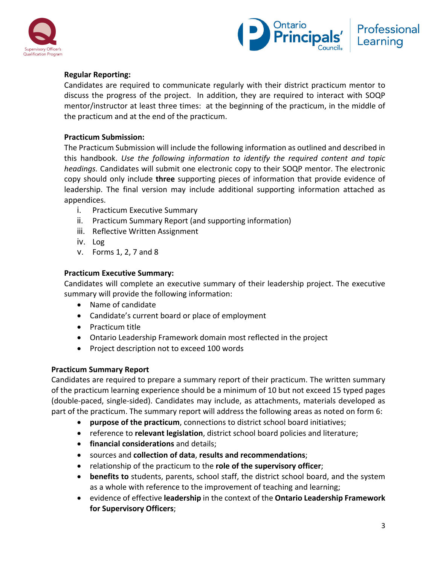



# **Regular Reporting:**

Candidates are required to communicate regularly with their district practicum mentor to discuss the progress of the project. In addition, they are required to interact with SOQP mentor/instructor at least three times: at the beginning of the practicum, in the middle of the practicum and at the end of the practicum.

### **Practicum Submission:**

The Practicum Submission will include the following information as outlined and described in this handbook. *Use the following information to identify the required content and topic headings.* Candidates will submit one electronic copy to their SOQP mentor. The electronic copy should only include **three** supporting pieces of information that provide evidence of leadership. The final version may include additional supporting information attached as appendices.

- i. Practicum Executive Summary
- ii. Practicum Summary Report (and supporting information)
- iii. Reflective Written Assignment
- iv. Log
- v. Forms 1, 2, 7 and 8

#### **Practicum Executive Summary:**

Candidates will complete an executive summary of their leadership project. The executive summary will provide the following information:

- Name of candidate
- Candidate's current board or place of employment
- Practicum title
- Ontario Leadership Framework domain most reflected in the project
- Project description not to exceed 100 words

# **Practicum Summary Report**

Candidates are required to prepare a summary report of their practicum. The written summary of the practicum learning experience should be a minimum of 10 but not exceed 15 typed pages (double-paced, single-sided). Candidates may include, as attachments, materials developed as part of the practicum. The summary report will address the following areas as noted on form 6:

- **purpose of the practicum**, connections to district school board initiatives;
- reference to **relevant legislation**, district school board policies and literature;
- **financial considerations** and details;
- sources and **collection of data**, **results and recommendations**;
- relationship of the practicum to the **role of the supervisory officer**;
- **benefits to** students, parents, school staff, the district school board, and the system as a whole with reference to the improvement of teaching and learning;
- evidence of effective **leadership** in the context of the **Ontario Leadership Framework for Supervisory Officers**;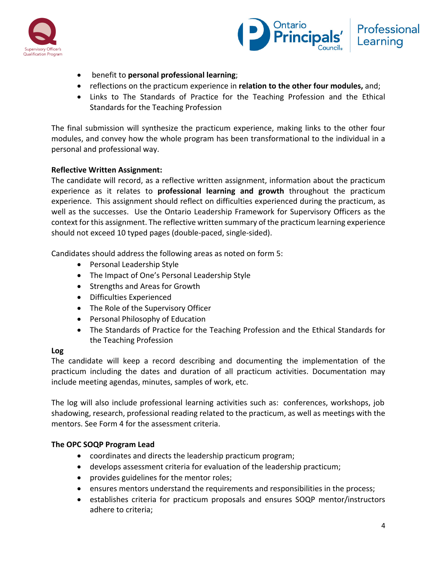



- benefit to **personal professional learning**;
- reflections on the practicum experience in **relation to the other four modules,** and;
- Links to The Standards of Practice for the Teaching Profession and the Ethical Standards for the Teaching Profession

The final submission will synthesize the practicum experience, making links to the other four modules, and convey how the whole program has been transformational to the individual in a personal and professional way.

# **Reflective Written Assignment:**

The candidate will record, as a reflective written assignment, information about the practicum experience as it relates to **professional learning and growth** throughout the practicum experience. This assignment should reflect on difficulties experienced during the practicum, as well as the successes. Use the Ontario Leadership Framework for Supervisory Officers as the context for this assignment. The reflective written summary of the practicum learning experience should not exceed 10 typed pages (double-paced, single-sided).

Candidates should address the following areas as noted on form 5:

- Personal Leadership Style
- The Impact of One's Personal Leadership Style
- Strengths and Areas for Growth
- Difficulties Experienced
- The Role of the Supervisory Officer
- Personal Philosophy of Education
- The Standards of Practice for the Teaching Profession and the Ethical Standards for the Teaching Profession

# **Log**

The candidate will keep a record describing and documenting the implementation of the practicum including the dates and duration of all practicum activities. Documentation may include meeting agendas, minutes, samples of work, etc.

The log will also include professional learning activities such as: conferences, workshops, job shadowing, research, professional reading related to the practicum, as well as meetings with the mentors. See Form 4 for the assessment criteria.

# **The OPC SOQP Program Lead**

- coordinates and directs the leadership practicum program;
- develops assessment criteria for evaluation of the leadership practicum;
- provides guidelines for the mentor roles;
- ensures mentors understand the requirements and responsibilities in the process;
- establishes criteria for practicum proposals and ensures SOQP mentor/instructors adhere to criteria;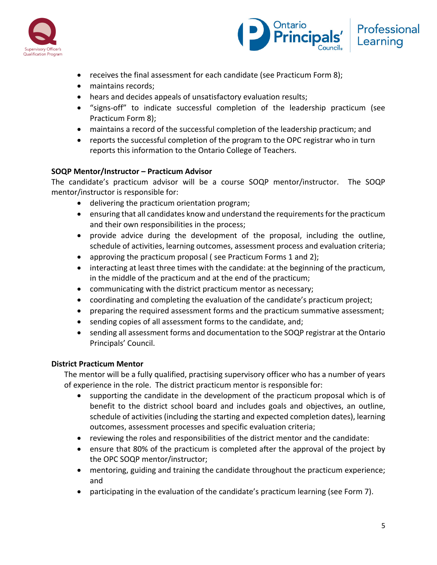



- receives the final assessment for each candidate (see Practicum Form 8);
- maintains records;
- hears and decides appeals of unsatisfactory evaluation results;
- "signs-off" to indicate successful completion of the leadership practicum (see Practicum Form 8);
- maintains a record of the successful completion of the leadership practicum; and
- reports the successful completion of the program to the OPC registrar who in turn reports this information to the Ontario College of Teachers.

# **SOQP Mentor/Instructor – Practicum Advisor**

The candidate's practicum advisor will be a course SOQP mentor/instructor. The SOQP mentor/instructor is responsible for:

- delivering the practicum orientation program;
- ensuring that all candidates know and understand the requirements for the practicum and their own responsibilities in the process;
- provide advice during the development of the proposal, including the outline, schedule of activities, learning outcomes, assessment process and evaluation criteria;
- approving the practicum proposal (see Practicum Forms 1 and 2);
- interacting at least three times with the candidate: at the beginning of the practicum, in the middle of the practicum and at the end of the practicum;
- communicating with the district practicum mentor as necessary;
- coordinating and completing the evaluation of the candidate's practicum project;
- preparing the required assessment forms and the practicum summative assessment;
- sending copies of all assessment forms to the candidate, and;
- sending all assessment forms and documentation to the SOQP registrar at the Ontario Principals' Council.

# **District Practicum Mentor**

The mentor will be a fully qualified, practising supervisory officer who has a number of years of experience in the role. The district practicum mentor is responsible for:

- supporting the candidate in the development of the practicum proposal which is of benefit to the district school board and includes goals and objectives, an outline, schedule of activities (including the starting and expected completion dates), learning outcomes, assessment processes and specific evaluation criteria;
- reviewing the roles and responsibilities of the district mentor and the candidate:
- ensure that 80% of the practicum is completed after the approval of the project by the OPC SOQP mentor/instructor;
- mentoring, guiding and training the candidate throughout the practicum experience; and
- participating in the evaluation of the candidate's practicum learning (see Form 7).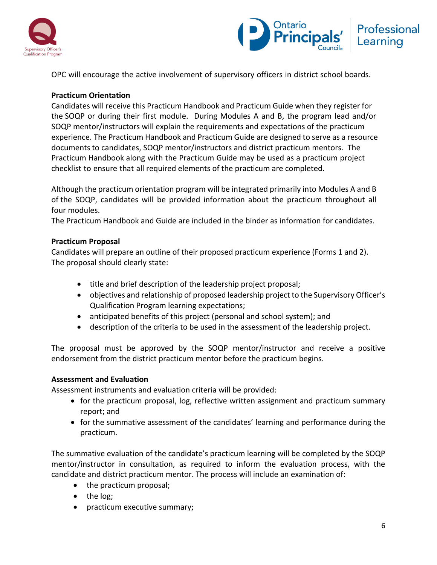



OPC will encourage the active involvement of supervisory officers in district school boards.

# **Practicum Orientation**

Candidates will receive this Practicum Handbook and Practicum Guide when they register for the SOQP or during their first module. During Modules A and B, the program lead and/or SOQP mentor/instructors will explain the requirements and expectations of the practicum experience. The Practicum Handbook and Practicum Guide are designed to serve as a resource documents to candidates, SOQP mentor/instructors and district practicum mentors. The Practicum Handbook along with the Practicum Guide may be used as a practicum project checklist to ensure that all required elements of the practicum are completed.

Although the practicum orientation program will be integrated primarily into Modules A and B of the SOQP, candidates will be provided information about the practicum throughout all four modules.

The Practicum Handbook and Guide are included in the binder as information for candidates.

#### **Practicum Proposal**

Candidates will prepare an outline of their proposed practicum experience (Forms 1 and 2). The proposal should clearly state:

- title and brief description of the leadership project proposal;
- objectives and relationship of proposed leadership project to the Supervisory Officer's Qualification Program learning expectations;
- anticipated benefits of this project (personal and school system); and
- description of the criteria to be used in the assessment of the leadership project.

The proposal must be approved by the SOQP mentor/instructor and receive a positive endorsement from the district practicum mentor before the practicum begins.

#### **Assessment and Evaluation**

Assessment instruments and evaluation criteria will be provided:

- for the practicum proposal, log, reflective written assignment and practicum summary report; and
- for the summative assessment of the candidates' learning and performance during the practicum.

The summative evaluation of the candidate's practicum learning will be completed by the SOQP mentor/instructor in consultation, as required to inform the evaluation process, with the candidate and district practicum mentor. The process will include an examination of:

- the practicum proposal;
- the log;
- practicum executive summary;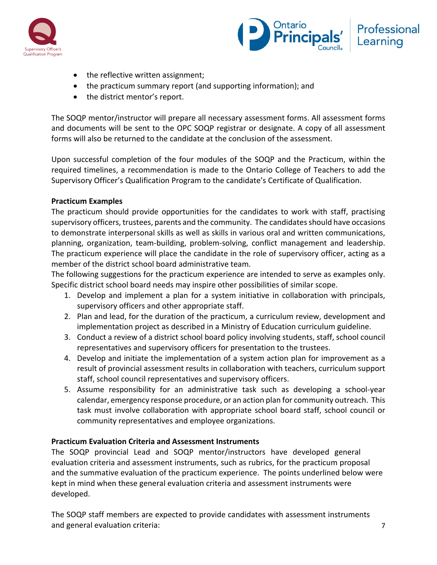



- the reflective written assignment;
- the practicum summary report (and supporting information); and
- the district mentor's report.

The SOQP mentor/instructor will prepare all necessary assessment forms. All assessment forms and documents will be sent to the OPC SOQP registrar or designate. A copy of all assessment forms will also be returned to the candidate at the conclusion of the assessment.

Upon successful completion of the four modules of the SOQP and the Practicum, within the required timelines, a recommendation is made to the Ontario College of Teachers to add the Supervisory Officer's Qualification Program to the candidate's Certificate of Qualification.

# **Practicum Examples**

The practicum should provide opportunities for the candidates to work with staff, practising supervisory officers, trustees, parents and the community. The candidates should have occasions to demonstrate interpersonal skills as well as skills in various oral and written communications, planning, organization, team-building, problem-solving, conflict management and leadership. The practicum experience will place the candidate in the role of supervisory officer, acting as a member of the district school board administrative team.

The following suggestions for the practicum experience are intended to serve as examples only. Specific district school board needs may inspire other possibilities of similar scope.

- 1. Develop and implement a plan for a system initiative in collaboration with principals, supervisory officers and other appropriate staff.
- 2. Plan and lead, for the duration of the practicum, a curriculum review, development and implementation project as described in a Ministry of Education curriculum guideline.
- 3. Conduct a review of a district school board policy involving students, staff, school council representatives and supervisory officers for presentation to the trustees.
- 4. Develop and initiate the implementation of a system action plan for improvement as a result of provincial assessment results in collaboration with teachers, curriculum support staff, school council representatives and supervisory officers.
- 5. Assume responsibility for an administrative task such as developing a school-year calendar, emergency response procedure, or an action plan for community outreach. This task must involve collaboration with appropriate school board staff, school council or community representatives and employee organizations.

# **Practicum Evaluation Criteria and Assessment Instruments**

The SOQP provincial Lead and SOQP mentor/instructors have developed general evaluation criteria and assessment instruments, such as rubrics, for the practicum proposal and the summative evaluation of the practicum experience. The points underlined below were kept in mind when these general evaluation criteria and assessment instruments were developed.

The SOQP staff members are expected to provide candidates with assessment instruments and general evaluation criteria: